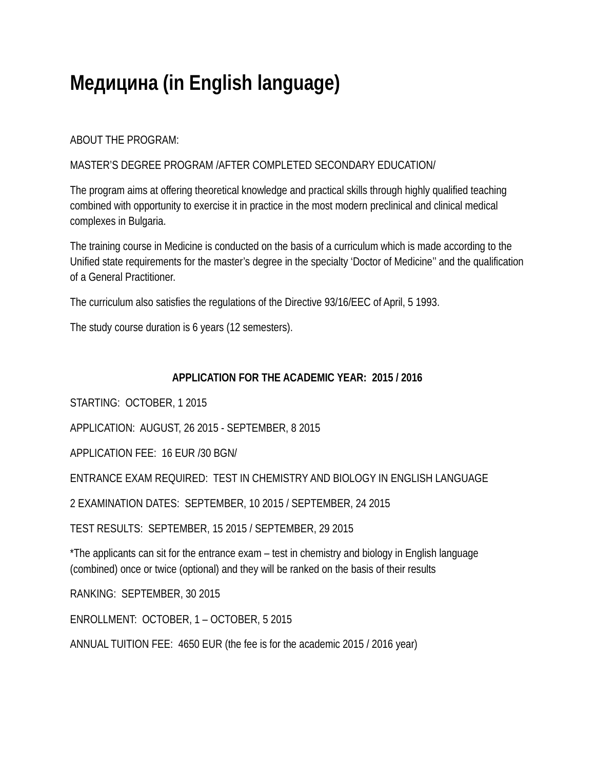# **Медицина (in English language)**

ABOUT THE PROGRAM:

### MASTER'S DEGREE PROGRAM /AFTER COMPLETED SECONDARY EDUCATION/

The program aims at offering theoretical knowledge and practical skills through highly qualified teaching combined with opportunity to exercise it in practice in the most modern preclinical and clinical medical complexes in Bulgaria.

The training course in Medicine is conducted on the basis of a curriculum which is made according to the Unified state requirements for the master's degree in the specialty 'Doctor of Medicine'' and the qualification of a General Practitioner.

The curriculum also satisfies the regulations of the Directive 93/16/EEC of April, 5 1993.

The study course duration is 6 years (12 semesters).

### **APPLICATION FOR THE ACADEMIC YEAR: 2015 / 2016**

STARTING: OCTOBER, 1 2015

APPLICATION: AUGUST, 26 2015 - SEPTEMBER, 8 2015

APPLICATION FEE: 16 EUR /30 BGN/

ENTRANCE EXAM REQUIRED: TEST IN CHEMISTRY AND BIOLOGY IN ENGLISH LANGUAGE

2 EXAMINATION DATES: SEPTEMBER, 10 2015 / SEPTEMBER, 24 2015

TEST RESULTS: SEPTEMBER, 15 2015 / SEPTEMBER, 29 2015

\*The applicants can sit for the entrance exam – test in chemistry and biology in English language (combined) once or twice (optional) and they will be ranked on the basis of their results

RANKING: SEPTEMBER, 30 2015

ENROLLMENT: OCTOBER, 1 – OCTOBER, 5 2015

ANNUAL TUITION FEE: 4650 EUR (the fee is for the academic 2015 / 2016 year)